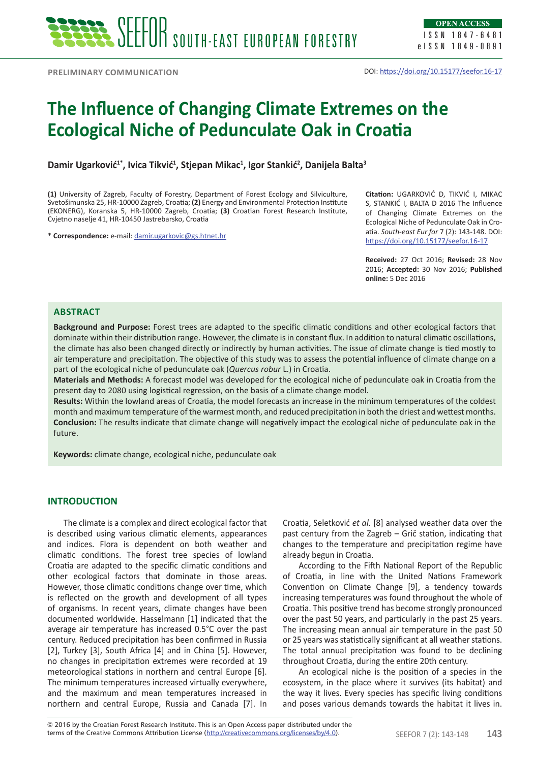**Preliminary communication**

# **The Influence of Changing Climate Extremes on the Ecological Niche of Pedunculate Oak in Croatia**

**Damir Ugarković1\*, Ivica Tikvić<sup>1</sup> , Stjepan Mikac<sup>1</sup> , Igor Stankić<sup>2</sup> , Danijela Balta<sup>3</sup>**

**(1)** University of Zagreb, Faculty of Forestry, Department of Forest Ecology and Silviculture, Svetošimunska 25, HR-10000 Zagreb, Croatia; **(2)** Energy and Environmental Protection Institute (EKONERG), Koranska 5, HR-10000 Zagreb, Croatia; **(3)** Croatian Forest Research Institute, Cvjetno naselje 41, HR-10450 Jastrebarsko, Croatia

\* **Correspondence:** e-mail: damir.ugarkovic@gs.htnet.hr

**Citation:** UGARKOVIĆ D, TIKVIĆ I, MIKAC S, STANKIĆ I, BALTA D 2016 The Influence of Changing Climate Extremes on the Ecological Niche of Pedunculate Oak in Croatia. *South-east Eur for* 7 (2): 143-148. DOI: https://doi.org/10.15177/seefor.16-17

**Received:** 27 Oct 2016; **Revised:** 28 Nov 2016; **Accepted:** 30 Nov 2016; **Published online:** 5 Dec 2016

## **Abstract**

**Background and Purpose:** Forest trees are adapted to the specific climatic conditions and other ecological factors that dominate within their distribution range. However, the climate is in constant flux. In addition to natural climatic oscillations, the climate has also been changed directly or indirectly by human activities. The issue of climate change is tied mostly to air temperature and precipitation. The objective of this study was to assess the potential influence of climate change on a part of the ecological niche of pedunculate oak (*Quercus robur* L.) in Croatia.

**Materials and Methods:** A forecast model was developed for the ecological niche of pedunculate oak in Croatia from the present day to 2080 using logistical regression, on the basis of a climate change model.

**Results:** Within the lowland areas of Croatia, the model forecasts an increase in the minimum temperatures of the coldest month and maximum temperature of the warmest month, and reduced precipitation in both the driest and wettest months. **Conclusion:** The results indicate that climate change will negatively impact the ecological niche of pedunculate oak in the future.

**Keywords:** climate change, ecological niche, pedunculate oak

## **INTRODUCTION**

The climate is a complex and direct ecological factor that is described using various climatic elements, appearances and indices. Flora is dependent on both weather and climatic conditions. The forest tree species of lowland Croatia are adapted to the specific climatic conditions and other ecological factors that dominate in those areas. However, those climatic conditions change over time, which is reflected on the growth and development of all types of organisms. In recent years, climate changes have been documented worldwide. Hasselmann [1] indicated that the average air temperature has increased 0.5°C over the past century. Reduced precipitation has been confirmed in Russia [2], Turkey [3], South Africa [4] and in China [5]. However, no changes in precipitation extremes were recorded at 19 meteorological stations in northern and central Europe [6]. The minimum temperatures increased virtually everywhere, and the maximum and mean temperatures increased in northern and central Europe, Russia and Canada [7]. In

Croatia, Seletković *et al.* [8] analysed weather data over the past century from the Zagreb – Grič station, indicating that changes to the temperature and precipitation regime have already begun in Croatia.

According to the Fifth National Report of the Republic of Croatia, in line with the United Nations Framework Convention on Climate Change [9], a tendency towards increasing temperatures was found throughout the whole of Croatia. This positive trend has become strongly pronounced over the past 50 years, and particularly in the past 25 years. The increasing mean annual air temperature in the past 50 or 25 years was statistically significant at all weather stations. The total annual precipitation was found to be declining throughout Croatia, during the entire 20th century.

An ecological niche is the position of a species in the ecosystem, in the place where it survives (its habitat) and the way it lives. Every species has specific living conditions and poses various demands towards the habitat it lives in.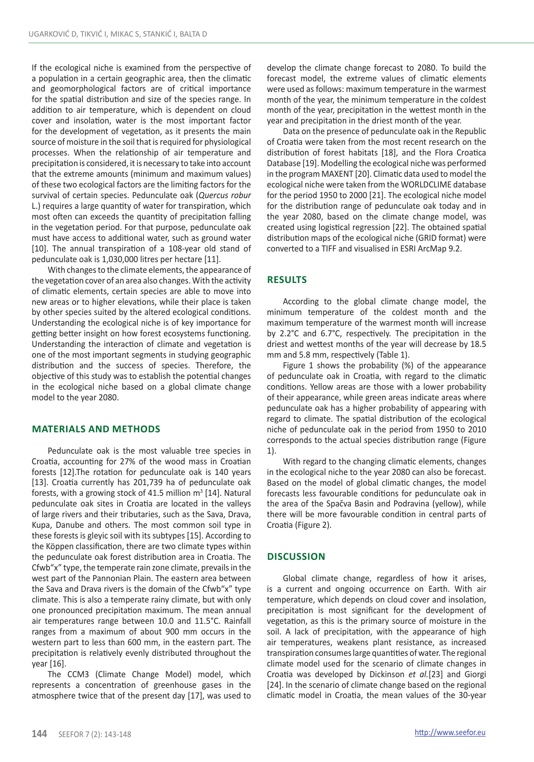If the ecological niche is examined from the perspective of a population in a certain geographic area, then the climatic and geomorphological factors are of critical importance for the spatial distribution and size of the species range. In addition to air temperature, which is dependent on cloud cover and insolation, water is the most important factor for the development of vegetation, as it presents the main source of moisture in the soil that is required for physiological processes. When the relationship of air temperature and precipitation is considered, it is necessary to take into account that the extreme amounts (minimum and maximum values) of these two ecological factors are the limiting factors for the survival of certain species. Pedunculate oak (*Quercus robur*  L.) requires a large quantity of water for transpiration, which most often can exceeds the quantity of precipitation falling in the vegetation period. For that purpose, pedunculate oak must have access to additional water, such as ground water [10]. The annual transpiration of a 108-year old stand of pedunculate oak is 1,030,000 litres per hectare [11].

With changes to the climate elements, the appearance of the vegetation cover of an area also changes. With the activity of climatic elements, certain species are able to move into new areas or to higher elevations, while their place is taken by other species suited by the altered ecological conditions. Understanding the ecological niche is of key importance for getting better insight on how forest ecosystems functioning. Understanding the interaction of climate and vegetation is one of the most important segments in studying geographic distribution and the success of species. Therefore, the objective of this study was to establish the potential changes in the ecological niche based on a global climate change model to the year 2080.

## **Materials and methods**

Pedunculate oak is the most valuable tree species in Croatia, accounting for 27% of the wood mass in Croatian forests [12].The rotation for pedunculate oak is 140 years [13]. Croatia currently has 201,739 ha of pedunculate oak forests, with a growing stock of 41.5 million  $m^3$  [14]. Natural pedunculate oak sites in Croatia are located in the valleys of large rivers and their tributaries, such as the Sava, Drava, Kupa, Danube and others. The most common soil type in these forests is gleyic soil with its subtypes [15]. According to the Köppen classification, there are two climate types within the pedunculate oak forest distribution area in Croatia. The Cfwb"x" type, the temperate rain zone climate, prevails in the west part of the Pannonian Plain. The eastern area between the Sava and Drava rivers is the domain of the Cfwb"x" type climate. This is also a temperate rainy climate, but with only one pronounced precipitation maximum. The mean annual air temperatures range between 10.0 and 11.5°C. Rainfall ranges from a maximum of about 900 mm occurs in the western part to less than 600 mm, in the eastern part. The precipitation is relatively evenly distributed throughout the year [16].

The CCM3 (Climate Change Model) model, which represents a concentration of greenhouse gases in the atmosphere twice that of the present day [17], was used to develop the climate change forecast to 2080. To build the forecast model, the extreme values of climatic elements were used as follows: maximum temperature in the warmest month of the year, the minimum temperature in the coldest month of the year, precipitation in the wettest month in the year and precipitation in the driest month of the year.

Data on the presence of pedunculate oak in the Republic of Croatia were taken from the most recent research on the distribution of forest habitats [18], and the Flora Croatica Database [19]. Modelling the ecological niche was performed in the program MAXENT [20]. Climatic data used to model the ecological niche were taken from the WORLDCLIME database for the period 1950 to 2000 [21]. The ecological niche model for the distribution range of pedunculate oak today and in the year 2080, based on the climate change model, was created using logistical regression [22]. The obtained spatial distribution maps of the ecological niche (GRID format) were converted to a TIFF and visualised in ESRI ArcMap 9.2.

## **Results**

According to the global climate change model, the minimum temperature of the coldest month and the maximum temperature of the warmest month will increase by 2.2°C and 6.7°C, respectively. The precipitation in the driest and wettest months of the year will decrease by 18.5 mm and 5.8 mm, respectively (Table 1).

Figure 1 shows the probability (%) of the appearance of pedunculate oak in Croatia, with regard to the climatic conditions. Yellow areas are those with a lower probability of their appearance, while green areas indicate areas where pedunculate oak has a higher probability of appearing with regard to climate. The spatial distribution of the ecological niche of pedunculate oak in the period from 1950 to 2010 corresponds to the actual species distribution range (Figure 1).

With regard to the changing climatic elements, changes in the ecological niche to the year 2080 can also be forecast. Based on the model of global climatic changes, the model forecasts less favourable conditions for pedunculate oak in the area of the Spačva Basin and Podravina (yellow), while there will be more favourable condition in central parts of Croatia (Figure 2).

## **Discussion**

Global climate change, regardless of how it arises, is a current and ongoing occurrence on Earth. With air temperature, which depends on cloud cover and insolation, precipitation is most significant for the development of vegetation, as this is the primary source of moisture in the soil. A lack of precipitation, with the appearance of high air temperatures, weakens plant resistance, as increased transpiration consumes large quantities of water. The regional climate model used for the scenario of climate changes in Croatia was developed by Dickinson *et al.*[23] and Giorgi [24]. In the scenario of climate change based on the regional climatic model in Croatia, the mean values of the 30-year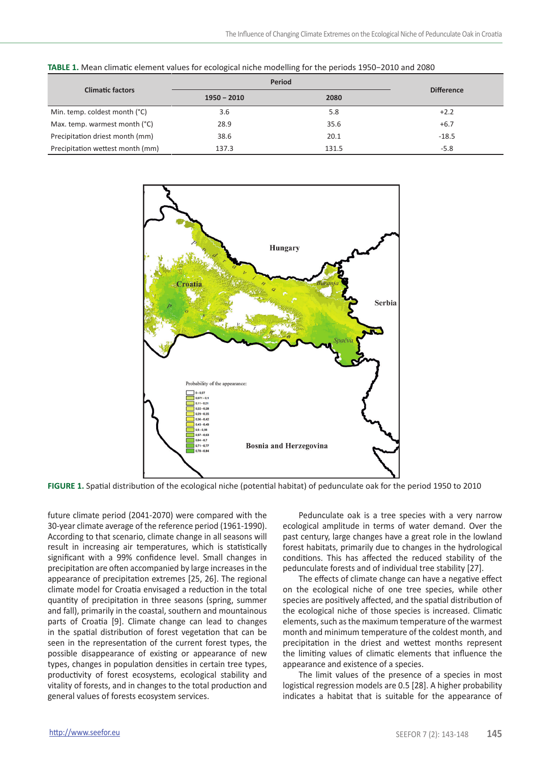| <b>Climatic factors</b>          | Period        |       |                   |
|----------------------------------|---------------|-------|-------------------|
|                                  | $1950 - 2010$ | 2080  | <b>Difference</b> |
| Min. temp. coldest month (°C)    | 3.6           | 5.8   | $+2.2$            |
| Max. temp. warmest month (°C)    | 28.9          | 35.6  | $+6.7$            |
| Precipitation driest month (mm)  | 38.6          | 20.1  | $-18.5$           |
| Precipitation wettest month (mm) | 137.3         | 131.5 | $-5.8$            |

**TABLE 1.** Mean climatic element values for ecological niche modelling for the periods 1950−2010 and 2080



**FIGURE 1.** Spatial distribution of the ecological niche (potential habitat) of pedunculate oak for the period 1950 to 2010

future climate period (2041-2070) were compared with the 30-year climate average of the reference period (1961-1990). According to that scenario, climate change in all seasons will result in increasing air temperatures, which is statistically significant with a 99% confidence level. Small changes in precipitation are often accompanied by large increases in the appearance of precipitation extremes [25, 26]. The regional climate model for Croatia envisaged a reduction in the total quantity of precipitation in three seasons (spring, summer and fall), primarily in the coastal, southern and mountainous parts of Croatia [9]. Climate change can lead to changes in the spatial distribution of forest vegetation that can be seen in the representation of the current forest types, the possible disappearance of existing or appearance of new types, changes in population densities in certain tree types, productivity of forest ecosystems, ecological stability and vitality of forests, and in changes to the total production and general values of forests ecosystem services.

Pedunculate oak is a tree species with a very narrow ecological amplitude in terms of water demand. Over the past century, large changes have a great role in the lowland forest habitats, primarily due to changes in the hydrological conditions. This has affected the reduced stability of the pedunculate forests and of individual tree stability [27].

The effects of climate change can have a negative effect on the ecological niche of one tree species, while other species are positively affected, and the spatial distribution of the ecological niche of those species is increased. Climatic elements, such as the maximum temperature of the warmest month and minimum temperature of the coldest month, and precipitation in the driest and wettest months represent the limiting values of climatic elements that influence the appearance and existence of a species.

The limit values of the presence of a species in most logistical regression models are 0.5 [28]. A higher probability indicates a habitat that is suitable for the appearance of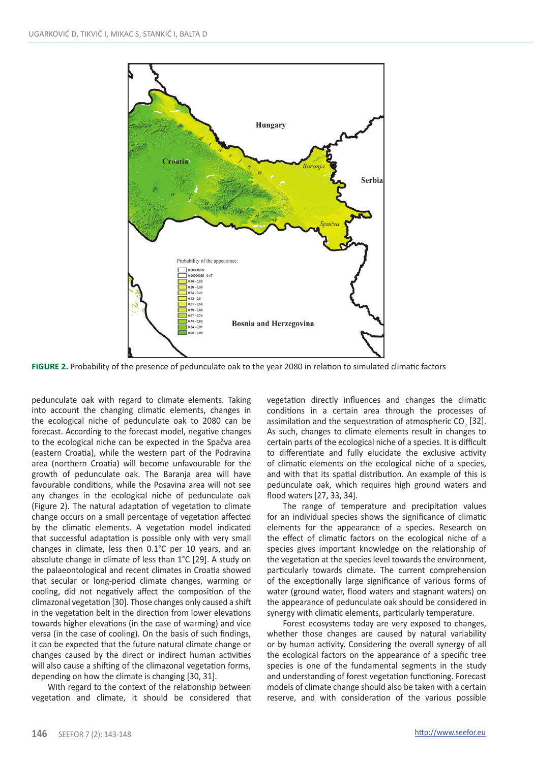

**FIGURE 2.** Probability of the presence of pedunculate oak to the year 2080 in relation to simulated climatic factors

pedunculate oak with regard to climate elements. Taking into account the changing climatic elements, changes in the ecological niche of pedunculate oak to 2080 can be forecast. According to the forecast model, negative changes to the ecological niche can be expected in the Spačva area (eastern Croatia), while the western part of the Podravina area (northern Croatia) will become unfavourable for the growth of pedunculate oak. The Baranja area will have favourable conditions, while the Posavina area will not see any changes in the ecological niche of pedunculate oak (Figure 2). The natural adaptation of vegetation to climate change occurs on a small percentage of vegetation affected by the climatic elements. A vegetation model indicated that successful adaptation is possible only with very small changes in climate, less then 0.1°C per 10 years, and an absolute change in climate of less than 1°C [29]. A study on the palaeontological and recent climates in Croatia showed that secular or long-period climate changes, warming or cooling, did not negatively affect the composition of the climazonal vegetation [30]. Those changes only caused a shift in the vegetation belt in the direction from lower elevations towards higher elevations (in the case of warming) and vice versa (in the case of cooling). On the basis of such findings, it can be expected that the future natural climate change or changes caused by the direct or indirect human activities will also cause a shifting of the climazonal vegetation forms, depending on how the climate is changing [30, 31].

With regard to the context of the relationship between vegetation and climate, it should be considered that vegetation directly influences and changes the climatic conditions in a certain area through the processes of assimilation and the sequestration of atmospheric  $CO<sub>2</sub>$  [32]. As such, changes to climate elements result in changes to certain parts of the ecological niche of a species. It is difficult to differentiate and fully elucidate the exclusive activity of climatic elements on the ecological niche of a species, and with that its spatial distribution. An example of this is pedunculate oak, which requires high ground waters and flood waters [27, 33, 34].

The range of temperature and precipitation values for an individual species shows the significance of climatic elements for the appearance of a species. Research on the effect of climatic factors on the ecological niche of a species gives important knowledge on the relationship of the vegetation at the species level towards the environment, particularly towards climate. The current comprehension of the exceptionally large significance of various forms of water (ground water, flood waters and stagnant waters) on the appearance of pedunculate oak should be considered in synergy with climatic elements, particularly temperature.

Forest ecosystems today are very exposed to changes, whether those changes are caused by natural variability or by human activity. Considering the overall synergy of all the ecological factors on the appearance of a specific tree species is one of the fundamental segments in the study and understanding of forest vegetation functioning. Forecast models of climate change should also be taken with a certain reserve, and with consideration of the various possible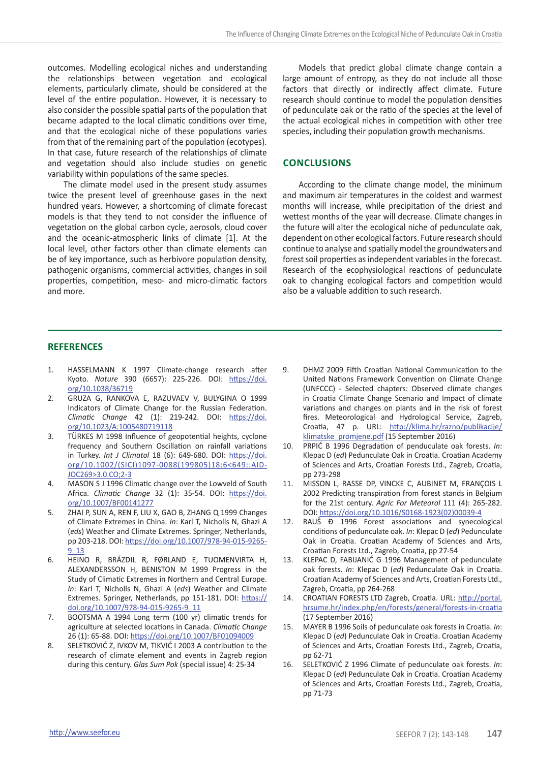outcomes. Modelling ecological niches and understanding the relationships between vegetation and ecological elements, particularly climate, should be considered at the level of the entire population. However, it is necessary to also consider the possible spatial parts of the population that became adapted to the local climatic conditions over time, and that the ecological niche of these populations varies from that of the remaining part of the population (ecotypes). In that case, future research of the relationships of climate and vegetation should also include studies on genetic variability within populations of the same species.

The climate model used in the present study assumes twice the present level of greenhouse gases in the next hundred years. However, a shortcoming of climate forecast models is that they tend to not consider the influence of vegetation on the global carbon cycle, aerosols, cloud cover and the oceanic-atmospheric links of climate [1]. At the local level, other factors other than climate elements can be of key importance, such as herbivore population density, pathogenic organisms, commercial activities, changes in soil properties, competition, meso- and micro-climatic factors and more.

Models that predict global climate change contain a large amount of entropy, as they do not include all those factors that directly or indirectly affect climate. Future research should continue to model the population densities of pedunculate oak or the ratio of the species at the level of the actual ecological niches in competition with other tree species, including their population growth mechanisms.

## **Conclusions**

According to the climate change model, the minimum and maximum air temperatures in the coldest and warmest months will increase, while precipitation of the driest and wettest months of the year will decrease. Climate changes in the future will alter the ecological niche of pedunculate oak, dependent on other ecological factors. Future research should continue to analyse and spatially model the groundwaters and forest soil properties as independent variables in the forecast. Research of the ecophysiological reactions of pedunculate oak to changing ecological factors and competition would also be a valuable addition to such research.

#### **REFERENCES**

- 1. HASSELMANN K 1997 Climate-change research after Kyoto. *Nature* 390 (6657): 225-226. DOI: https://doi. org/10.1038/36719
- 2. GRUZA G, RANKOVA E, RAZUVAEV V, BULYGINA O 1999 Indicators of Climate Change for the Russian Federation. *Climatic Change* 42 (1): 219-242. DOI: https://doi. org/10.1023/A:1005480719118
- 3. TÜRKES M 1998 Influence of geopotential heights, cyclone frequency and Southern Oscillation on rainfall variations in Turkey. *Int J Climatol* 18 (6): 649-680. DOI: https://doi. org/10.1002/(SICI)1097-0088(199805)18:6<649::AID-JOC269>3.0.CO;2-3
- 4. MASON S J 1996 Climatic change over the Lowveld of South Africa. *Climatic Change* 32 (1): 35-54. DOI: https://doi. org/10.1007/BF00141277
- 5. ZHAI P, SUN A, REN F, LIU X, GAO B, ZHANG Q 1999 Changes of Climate Extremes in China. *In*: Karl T, Nicholls N, Ghazi A (*eds*) Weather and Climate Extremes. Springer, Netherlands, pp 203-218. DOI: https://doi.org/10.1007/978-94-015-9265- 9\_13
- 6. HEINO R, BRÁZDIL R, FØRLAND E, TUOMENVIRTA H, ALEXANDERSSON H, BENISTON M 1999 Progress in the Study of Climatic Extremes in Northern and Central Europe. *In*: Karl T, Nicholls N, Ghazi A (*eds*) Weather and Climate Extremes. Springer, Netherlands, pp 151-181. DOI: https:// doi.org/10.1007/978-94-015-9265-9\_11
- 7. BOOTSMA A 1994 Long term (100 yr) climatic trends for agriculture at selected locations in Canada. *Climatic Change* 26 (1): 65-88. DOI: https://doi.org/10.1007/BF01094009
- 8. SELETKOVIĆ Z, IVKOV M, TIKVIĆ I 2003 A contribution to the research of climate element and events in Zagreb region during this century. *Glas Sum Pok* (special issue) 4: 25-34
- 9. DHMZ 2009 Fifth Croatian National Communication to the United Nations Framework Convention on Climate Change (UNFCCC) - Selected chapters: Observed climate changes in Croatia Climate Change Scenario and Impact of climate variations and changes on plants and in the risk of forest fires. Meteorological and Hydrological Service, Zagreb, Croatia, 47 p. URL: http://klima.hr/razno/publikacije/ klimatske\_promjene.pdf (15 September 2016)
- 10. PRPIĆ B 1996 Degradation of penduculate oak forests. *In*: Klepac D (*ed*) Pedunculate Oak in Croatia. Croatian Academy of Sciences and Arts, Croatian Forests Ltd., Zagreb, Croatia, pp 273-298
- 11. MISSON L, RASSE DP, VINCKE C, AUBINET M, FRANÇOIS L 2002 Predicting transpiration from forest stands in Belgium for the 21st century. *Agric For Meteorol* 111 (4): 265-282. DOI: https://doi.org/10.1016/S0168-1923(02)00039-4
- 12. RAUŠ Đ 1996 Forest associations and synecological conditions of pedunculate oak. *In*: Klepac D (*ed*) Pedunculate Oak in Croatia. Croatian Academy of Sciences and Arts, Croatian Forests Ltd., Zagreb, Croatia, pp 27-54
- 13. KLEPAC D, FABIJANIĆ G 1996 Management of pedunculate oak forests. *In*: Klepac D (*ed*) Pedunculate Oak in Croatia. Croatian Academy of Sciences and Arts, Croatian Forests Ltd., Zagreb, Croatia, pp 264-268
- 14. CROATIAN FORESTS LTD Zagreb, Croatia. URL: http://portal. hrsume.hr/index.php/en/forests/general/forests-in-croatia (17 September 2016)
- 15. MAYER B 1996 Soils of pedunculate oak forests in Croatia. *In*: Klepac D (*ed*) Pedunculate Oak in Croatia. Croatian Academy of Sciences and Arts, Croatian Forests Ltd., Zagreb, Croatia, pp 62-71
- 16. SELETKOVIĆ Z 1996 Climate of pedunculate oak forests. *In*: Klepac D (*ed*) Pedunculate Oak in Croatia. Croatian Academy of Sciences and Arts, Croatian Forests Ltd., Zagreb, Croatia, pp 71-73